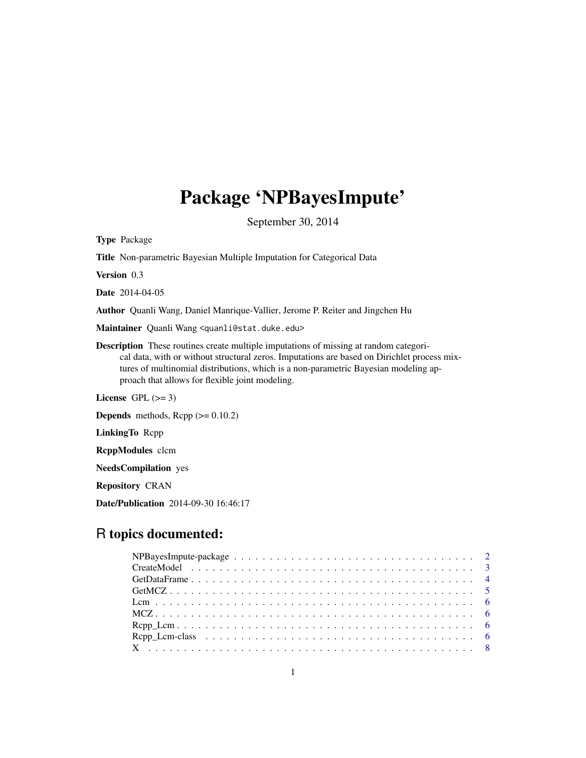## Package 'NPBayesImpute'

September 30, 2014

<span id="page-0-0"></span>Type Package

Title Non-parametric Bayesian Multiple Imputation for Categorical Data

Version 0.3

Date 2014-04-05

Author Quanli Wang, Daniel Manrique-Vallier, Jerome P. Reiter and Jingchen Hu

Maintainer Quanli Wang <quanli@stat.duke.edu>

Description These routines create multiple imputations of missing at random categorical data, with or without structural zeros. Imputations are based on Dirichlet process mixtures of multinomial distributions, which is a non-parametric Bayesian modeling approach that allows for flexible joint modeling.

License GPL  $(>= 3)$ 

**Depends** methods,  $\text{Rcpp}$  ( $>= 0.10.2$ )

LinkingTo Rcpp

RcppModules clcm

NeedsCompilation yes

Repository CRAN

Date/Publication 2014-09-30 16:46:17

### R topics documented: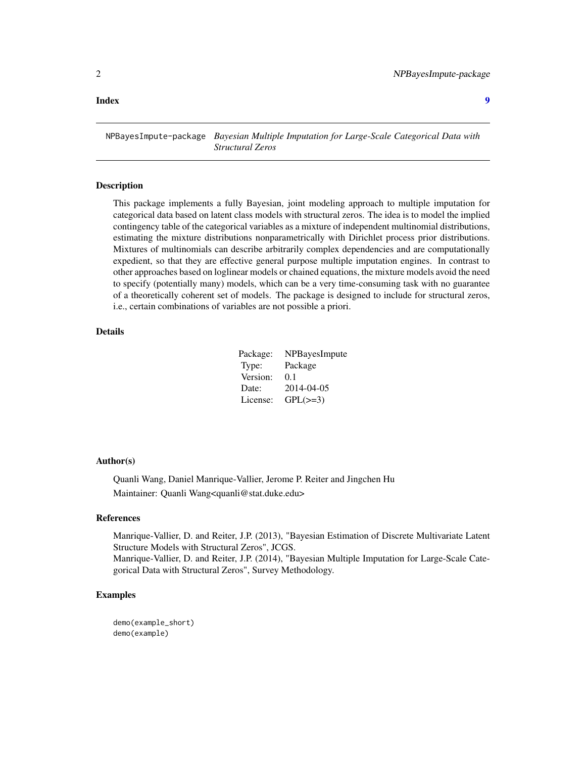#### <span id="page-1-0"></span>**Index** [9](#page-8-0)

NPBayesImpute-package *Bayesian Multiple Imputation for Large-Scale Categorical Data with Structural Zeros*

#### **Description**

This package implements a fully Bayesian, joint modeling approach to multiple imputation for categorical data based on latent class models with structural zeros. The idea is to model the implied contingency table of the categorical variables as a mixture of independent multinomial distributions, estimating the mixture distributions nonparametrically with Dirichlet process prior distributions. Mixtures of multinomials can describe arbitrarily complex dependencies and are computationally expedient, so that they are effective general purpose multiple imputation engines. In contrast to other approaches based on loglinear models or chained equations, the mixture models avoid the need to specify (potentially many) models, which can be a very time-consuming task with no guarantee of a theoretically coherent set of models. The package is designed to include for structural zeros, i.e., certain combinations of variables are not possible a priori.

#### Details

| Package: | NPBayesImpute |
|----------|---------------|
| Type:    | Package       |
| Version: | 0.1           |
| Date:    | 2014-04-05    |
| License: | $GPL(\geq=3)$ |

#### Author(s)

Quanli Wang, Daniel Manrique-Vallier, Jerome P. Reiter and Jingchen Hu Maintainer: Quanli Wang<quanli@stat.duke.edu>

#### References

Manrique-Vallier, D. and Reiter, J.P. (2013), "Bayesian Estimation of Discrete Multivariate Latent Structure Models with Structural Zeros", JCGS.

Manrique-Vallier, D. and Reiter, J.P. (2014), "Bayesian Multiple Imputation for Large-Scale Categorical Data with Structural Zeros", Survey Methodology.

#### Examples

demo(example\_short) demo(example)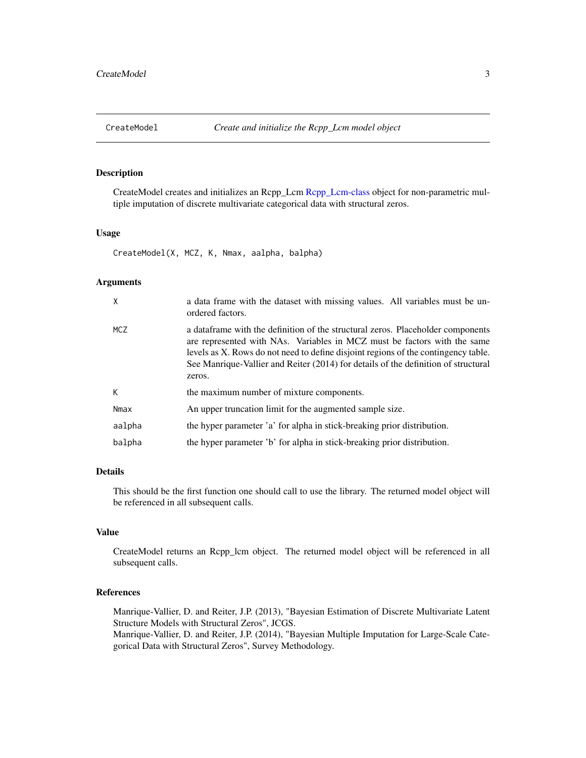<span id="page-2-1"></span><span id="page-2-0"></span>

#### Description

CreateModel creates and initializes an Rcpp\_Lcm [Rcpp\\_Lcm-class](#page-5-1) object for non-parametric multiple imputation of discrete multivariate categorical data with structural zeros.

#### Usage

CreateModel(X, MCZ, K, Nmax, aalpha, balpha)

#### **Arguments**

| χ          | a data frame with the dataset with missing values. All variables must be un-<br>ordered factors.                                                                                                                                                                                                                                                   |
|------------|----------------------------------------------------------------------------------------------------------------------------------------------------------------------------------------------------------------------------------------------------------------------------------------------------------------------------------------------------|
| <b>MCZ</b> | a data frame with the definition of the structural zeros. Placeholder components<br>are represented with NAs. Variables in MCZ must be factors with the same<br>levels as X. Rows do not need to define disjoint regions of the contingency table.<br>See Manrique-Vallier and Reiter (2014) for details of the definition of structural<br>zeros. |
| K          | the maximum number of mixture components.                                                                                                                                                                                                                                                                                                          |
| Nmax       | An upper truncation limit for the augmented sample size.                                                                                                                                                                                                                                                                                           |
| aalpha     | the hyper parameter 'a' for alpha in stick-breaking prior distribution.                                                                                                                                                                                                                                                                            |
| balpha     | the hyper parameter 'b' for alpha in stick-breaking prior distribution.                                                                                                                                                                                                                                                                            |

#### Details

This should be the first function one should call to use the library. The returned model object will be referenced in all subsequent calls.

#### Value

CreateModel returns an Rcpp\_lcm object. The returned model object will be referenced in all subsequent calls.

#### References

Manrique-Vallier, D. and Reiter, J.P. (2013), "Bayesian Estimation of Discrete Multivariate Latent Structure Models with Structural Zeros", JCGS.

Manrique-Vallier, D. and Reiter, J.P. (2014), "Bayesian Multiple Imputation for Large-Scale Categorical Data with Structural Zeros", Survey Methodology.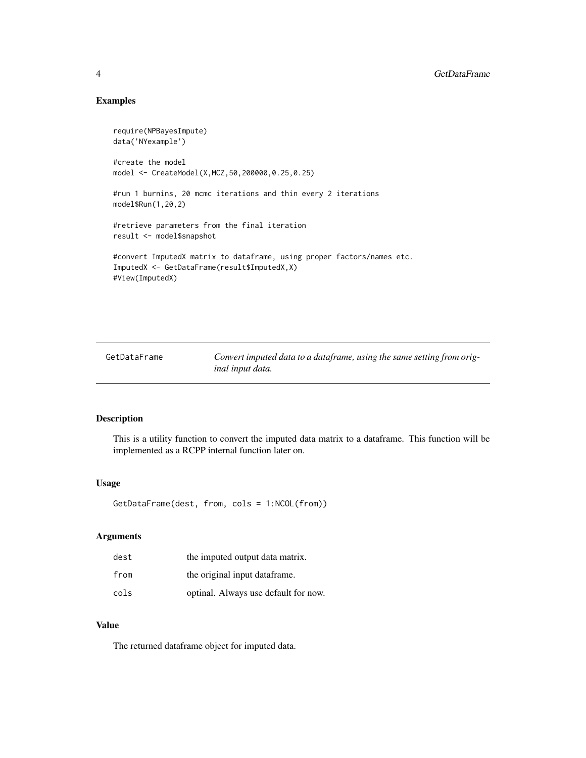#### Examples

```
require(NPBayesImpute)
data('NYexample')
#create the model
model <- CreateModel(X,MCZ,50,200000,0.25,0.25)
#run 1 burnins, 20 mcmc iterations and thin every 2 iterations
model$Run(1,20,2)
#retrieve parameters from the final iteration
result <- model$snapshot
#convert ImputedX matrix to dataframe, using proper factors/names etc.
ImputedX <- GetDataFrame(result$ImputedX,X)
#View(ImputedX)
```
<span id="page-3-1"></span>GetDataFrame *Convert imputed data to a dataframe, using the same setting from original input data.*

#### Description

This is a utility function to convert the imputed data matrix to a dataframe. This function will be implemented as a RCPP internal function later on.

#### Usage

```
GetDataFrame(dest, from, cols = 1:NCOL(from))
```
#### Arguments

| dest | the imputed output data matrix.      |
|------|--------------------------------------|
| from | the original input dataframe.        |
| cols | optinal. Always use default for now. |

#### Value

The returned dataframe object for imputed data.

<span id="page-3-0"></span>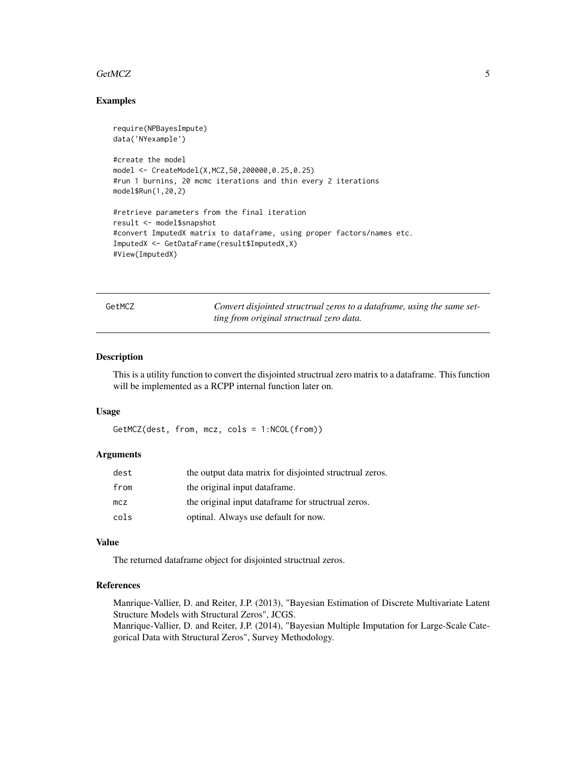#### <span id="page-4-0"></span>GetMCZ 5

#### Examples

```
require(NPBayesImpute)
data('NYexample')
#create the model
model <- CreateModel(X,MCZ,50,200000,0.25,0.25)
#run 1 burnins, 20 mcmc iterations and thin every 2 iterations
model$Run(1,20,2)
#retrieve parameters from the final iteration
result <- model$snapshot
#convert ImputedX matrix to dataframe, using proper factors/names etc.
ImputedX <- GetDataFrame(result$ImputedX,X)
#View(ImputedX)
```

| GetMCZ |  |  |
|--------|--|--|
|        |  |  |

Z **Convert disjointed structrual zeros to a dataframe, using the same set***ting from original structrual zero data.*

#### Description

This is a utility function to convert the disjointed structrual zero matrix to a dataframe. This function will be implemented as a RCPP internal function later on.

#### Usage

```
GetMCZ(dest, from, mcz, cols = 1:NCOL(from))
```
#### Arguments

| dest | the output data matrix for disjointed structrual zeros. |
|------|---------------------------------------------------------|
| from | the original input dataframe.                           |
| mcz  | the original input dataframe for structrual zeros.      |
| cols | optinal. Always use default for now.                    |

#### Value

The returned dataframe object for disjointed structrual zeros.

#### References

Manrique-Vallier, D. and Reiter, J.P. (2013), "Bayesian Estimation of Discrete Multivariate Latent Structure Models with Structural Zeros", JCGS. Manrique-Vallier, D. and Reiter, J.P. (2014), "Bayesian Multiple Imputation for Large-Scale Categorical Data with Structural Zeros", Survey Methodology.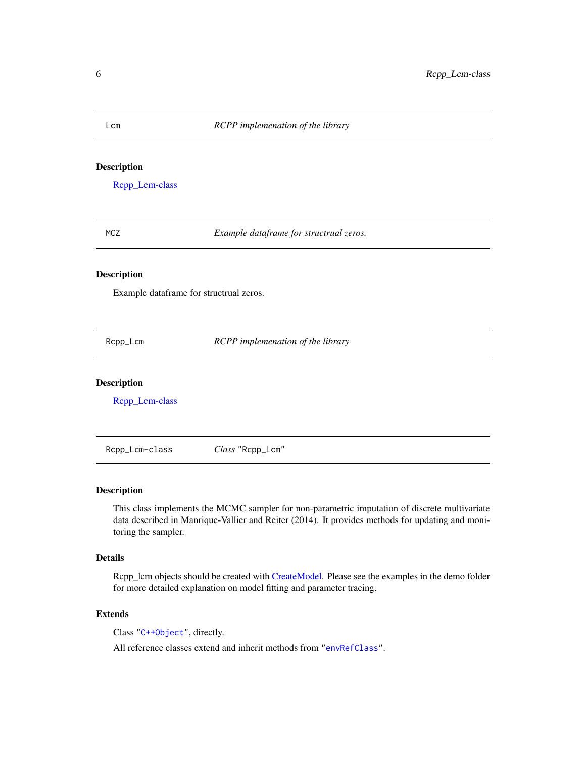#### <span id="page-5-0"></span>Lcm *RCPP implemenation of the library*

#### Description

[Rcpp\\_Lcm-class](#page-5-1)

MCZ *Example dataframe for structrual zeros.*

#### Description

Example dataframe for structrual zeros.

Rcpp\_Lcm *RCPP implemenation of the library*

#### Description

[Rcpp\\_Lcm-class](#page-5-1)

<span id="page-5-1"></span>Rcpp\_Lcm-class *Class* "Rcpp\_Lcm"

#### Description

This class implements the MCMC sampler for non-parametric imputation of discrete multivariate data described in Manrique-Vallier and Reiter (2014). It provides methods for updating and monitoring the sampler.

#### Details

Rcpp\_lcm objects should be created with [CreateModel.](#page-2-1) Please see the examples in the demo folder for more detailed explanation on model fitting and parameter tracing.

#### Extends

Class ["C++Object"](#page-0-0), directly.

All reference classes extend and inherit methods from ["envRefClass"](#page-0-0).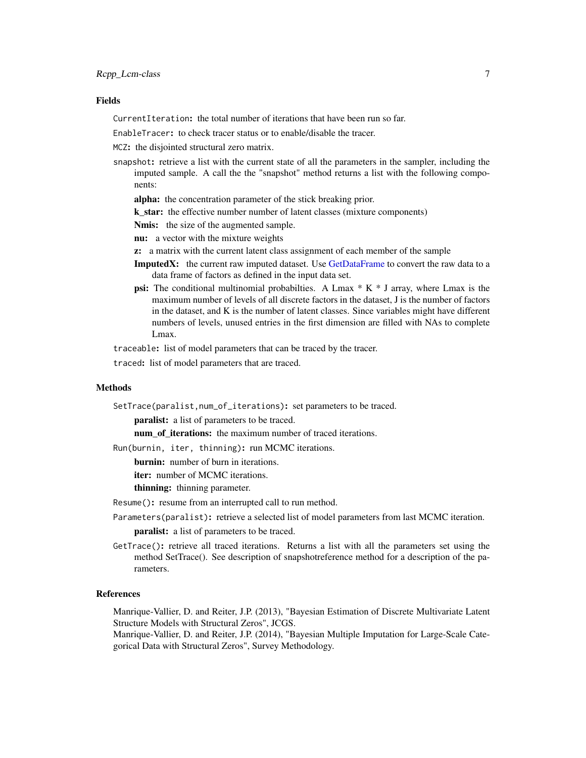#### <span id="page-6-0"></span>Fields

CurrentIteration: the total number of iterations that have been run so far.

EnableTracer: to check tracer status or to enable/disable the tracer.

MCZ: the disjointed structural zero matrix.

- snapshot: retrieve a list with the current state of all the parameters in the sampler, including the imputed sample. A call the the "snapshot" method returns a list with the following components:
	- alpha: the concentration parameter of the stick breaking prior.
	- k star: the effective number number of latent classes (mixture components)

Nmis: the size of the augmented sample.

- nu: a vector with the mixture weights
- z: a matrix with the current latent class assignment of each member of the sample
- ImputedX: the current raw imputed dataset. Use [GetDataFrame](#page-3-1) to convert the raw data to a data frame of factors as defined in the input data set.
- **psi:** The conditional multinomial probabilties. A Lmax  $*$  K  $*$  J array, where Lmax is the maximum number of levels of all discrete factors in the dataset, J is the number of factors in the dataset, and K is the number of latent classes. Since variables might have different numbers of levels, unused entries in the first dimension are filled with NAs to complete Lmax.

traceable: list of model parameters that can be traced by the tracer.

traced: list of model parameters that are traced.

#### Methods

SetTrace(paralist,num\_of\_iterations): set parameters to be traced.

paralist: a list of parameters to be traced.

num of iterations: the maximum number of traced iterations.

Run(burnin, iter, thinning): run MCMC iterations.

**burnin:** number of burn in iterations.

iter: number of MCMC iterations.

thinning: thinning parameter.

Resume(): resume from an interrupted call to run method.

Parameters(paralist): retrieve a selected list of model parameters from last MCMC iteration.

paralist: a list of parameters to be traced.

GetTrace(): retrieve all traced iterations. Returns a list with all the parameters set using the method SetTrace(). See description of snapshotreference method for a description of the parameters.

#### References

Manrique-Vallier, D. and Reiter, J.P. (2013), "Bayesian Estimation of Discrete Multivariate Latent Structure Models with Structural Zeros", JCGS.

Manrique-Vallier, D. and Reiter, J.P. (2014), "Bayesian Multiple Imputation for Large-Scale Categorical Data with Structural Zeros", Survey Methodology.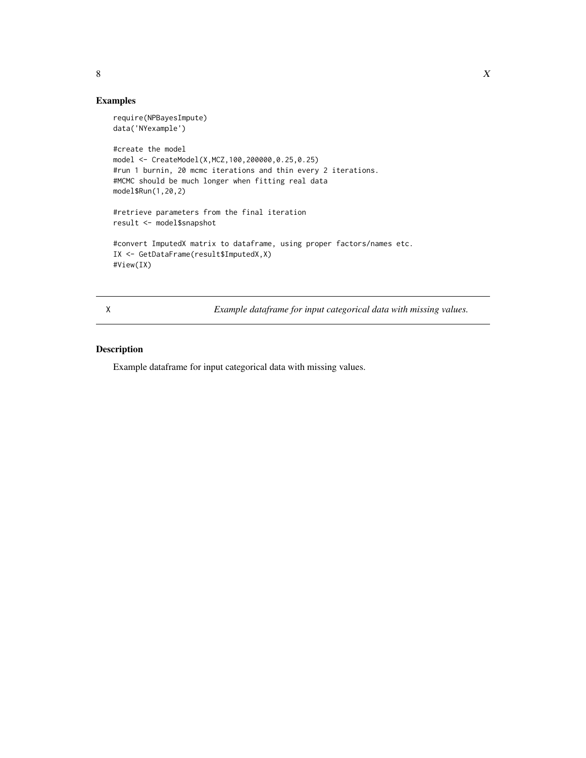#### <span id="page-7-0"></span>Examples

```
require(NPBayesImpute)
data('NYexample')
#create the model
model <- CreateModel(X,MCZ,100,200000,0.25,0.25)
#run 1 burnin, 20 mcmc iterations and thin every 2 iterations.
#MCMC should be much longer when fitting real data
model$Run(1,20,2)
#retrieve parameters from the final iteration
result <- model$snapshot
#convert ImputedX matrix to dataframe, using proper factors/names etc.
IX <- GetDataFrame(result$ImputedX,X)
#View(IX)
```
X *Example dataframe for input categorical data with missing values.*

#### Description

Example dataframe for input categorical data with missing values.